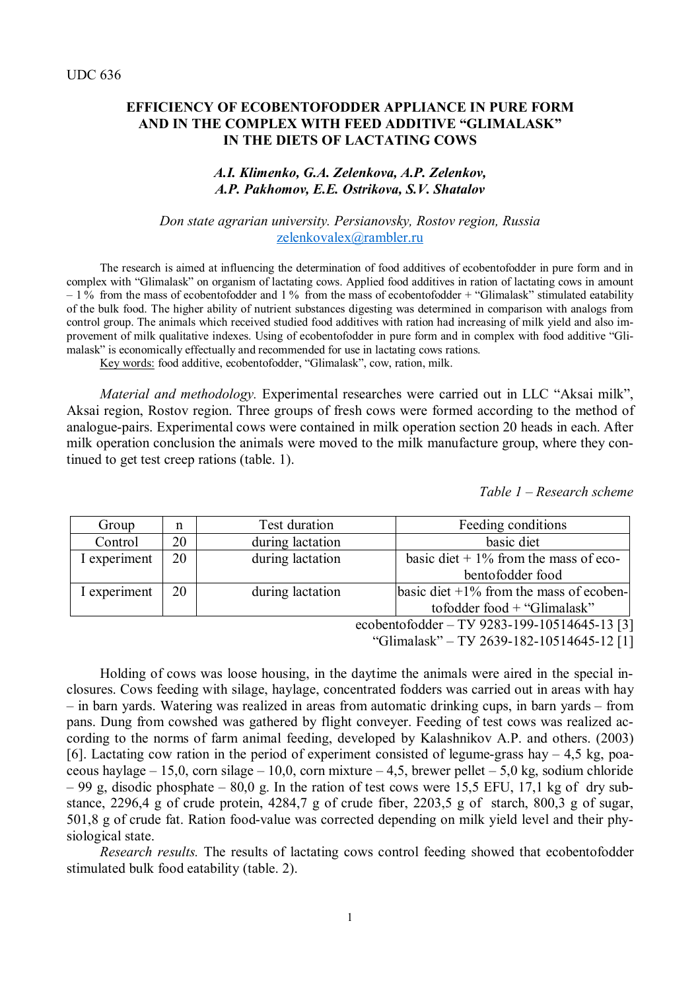### **EFFICIENCY OF ECOBENTOFODDER APPLIANCE IN PURE FORM AND IN THE COMPLEX WITH FEED ADDITIVE "GLIMALASK" IN THE DIETS OF LACTATING COWS**

### *A.I. Klimenko, G.A. Zelenkova, A.P. Zelenkov, A.P. Pakhomov, E.E. Ostrikova, S.V. Shatalov*

#### *Don state agrarian university. Persianovsky, Rostov region, Russia* [zelenkovalex@rambler.ru](mailto:zelenkovalex@rambler.ru)

The research is aimed at influencing the determination of food additives of ecobentofodder in pure form and in complex with "Glimalask" on organism of lactating cows. Applied food additives in ration of lactating cows in amount  $-1\%$  from the mass of ecobentofodder and 1% from the mass of ecobentofodder + "Glimalask" stimulated eatability of the bulk food. The higher ability of nutrient substances digesting was determined in comparison with analogs from control group. The animals which received studied food additives with ration had increasing of milk yield and also improvement of milk qualitative indexes. Using of ecobentofodder in pure form and in complex with food additive "Glimalask" is economically effectually and recommended for use in lactating cows rations.

Key words: food additive, ecobentofodder, "Glimalask", cow, ration, milk.

*Material and methodology.* Experimental researches were carried out in LLC "Aksai milk", Aksai region, Rostov region. Three groups of fresh cows were formed according to the method of analogue-pairs. Experimental cows were contained in milk operation section 20 heads in each. After milk operation conclusion the animals were moved to the milk manufacture group, where they continued to get test creep rations (table. 1).

*Table 1 – Research scheme*

| Group        | n  | Test duration    | Feeding conditions                           |
|--------------|----|------------------|----------------------------------------------|
| Control      | 20 | during lactation | basic diet                                   |
| I experiment | 20 | during lactation | basic diet $+1\%$ from the mass of eco-      |
|              |    |                  | bentofodder food                             |
| I experiment | 20 | during lactation | basic diet $+1\%$ from the mass of ecoben-   |
|              |    |                  | to fodder food + "Glimalask"                 |
|              |    |                  | ecobentofodder - TV 9283-199-10514645-13 [3] |

"Glimalask" – ТУ 2639-182-10514645-12 [1]

Holding of cows was loose housing, in the daytime the animals were aired in the special inclosures. Cows feeding with silage, haylage, concentrated fodders was carried out in areas with hay – in barn yards. Watering was realized in areas from automatic drinking cups, in barn yards – from pans. Dung from cowshed was gathered by flight conveyer. Feeding of test cows was realized according to the norms of farm animal feeding, developed by Kalashnikov A.P. and others. (2003) [6]. Lactating cow ration in the period of experiment consisted of legume-grass hay  $-4.5$  kg, poaceous haylage – 15,0, corn silage – 10,0, corn mixture – 4,5, brewer pellet – 5,0 kg, sodium chloride  $-99$  g, disodic phosphate  $-80.0$  g. In the ration of test cows were 15,5 EFU, 17,1 kg of dry substance, 2296,4 g of crude protein, 4284,7 g of crude fiber, 2203,5 g of starch, 800,3 g of sugar, 501,8 g of crude fat. Ration food-value was corrected depending on milk yield level and their physiological state.

*Research results.* The results of lactating cows control feeding showed that ecobentofodder stimulated bulk food eatability (table. 2).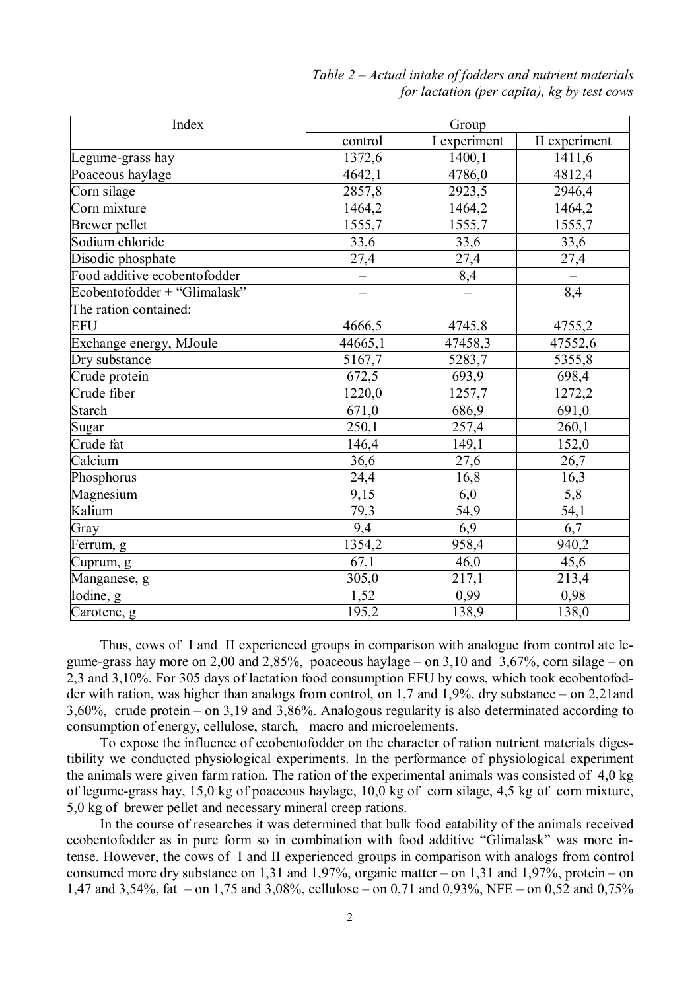| Index                        | Group                    |              |               |  |
|------------------------------|--------------------------|--------------|---------------|--|
|                              | control                  | I experiment | II experiment |  |
| Legume-grass hay             | 1372,6                   | 1400,1       | 1411,6        |  |
| Poaceous haylage             | 4642,1                   | 4786,0       | 4812,4        |  |
| Corn silage                  | 2857,8                   | 2923,5       | 2946,4        |  |
| Corn mixture                 | 1464,2                   | 1464,2       | 1464,2        |  |
| Brewer pellet                | 1555,7                   | 1555,7       | 1555,7        |  |
| Sodium chloride              | 33,6                     | 33,6         | 33,6          |  |
| Disodic phosphate            | 27,4                     | 27,4         | 27,4          |  |
| Food additive ecobentofodder |                          | 8,4          |               |  |
| Ecobentofodder + "Glimalask" | $\overline{\phantom{0}}$ |              | 8,4           |  |
| The ration contained:        |                          |              |               |  |
| <b>EFU</b>                   | 4666,5                   | 4745,8       | 4755,2        |  |
| Exchange energy, MJoule      | 44665,1                  | 47458,3      | 47552,6       |  |
| Dry substance                | 5167,7                   | 5283,7       | 5355,8        |  |
| Crude protein                | 672,5                    | 693,9        | 698,4         |  |
| Crude fiber                  | 1220,0                   | 1257,7       | 1272,2        |  |
| <b>Starch</b>                | 671,0                    | 686,9        | 691,0         |  |
| Sugar                        | 250,1                    | 257,4        | 260,1         |  |
| Crude fat                    | 146,4                    | 149,1        | 152,0         |  |
| Calcium                      | 36,6                     | 27,6         | 26,7          |  |
| Phosphorus                   | $\overline{24,4}$        | 16,8         | 16,3          |  |
| Magnesium                    | 9,15                     | 6,0          | 5,8           |  |
| Kalium                       | 79,3                     | 54,9         | 54,1          |  |
| Gray                         | 9,4                      | 6,9          | 6,7           |  |
| Ferrum, g                    | 1354,2                   | 958,4        | 940,2         |  |
| Cuprum, g                    | 67,1                     | 46,0         | 45,6          |  |
| Manganese, g                 | 305,0                    | 217,1        | 213,4         |  |
| Iodine, g                    | 1,52                     | 0,99         | 0,98          |  |
| Carotene, g                  | 195,2                    | 138,9        | 138,0         |  |

# *Table 2 – Actual intake of fodders and nutrient materials for lactation (per capita), kg by test cows*

Thus, cows of I and II experienced groups in comparison with analogue from control ate legume-grass hay more on 2,00 and 2,85%, poaceous haylage – on 3,10 and 3,67%, corn silage – on 2,3 and 3,10%. For 305 days of lactation food consumption EFU by cows, which took ecobentofodder with ration, was higher than analogs from control, on 1,7 and 1,9%, dry substance – on 2,21and 3,60%, crude protein – on 3,19 and 3,86%. Analogous regularity is also determinated according to consumption of energy, cellulose, starch, macro and microelements.

To expose the influence of ecobentofodder on the character of ration nutrient materials digestibility we conducted physiological experiments. In the performance of physiological experiment the animals were given farm ration. The ration of the experimental animals was consisted of 4,0 kg of legume-grass hay, 15,0 kg of poaceous haylage, 10,0 kg of corn silage, 4,5 kg of corn mixture, 5,0 kg of brewer pellet and necessary mineral creep rations.

In the course of researches it was determined that bulk food eatability of the animals received ecobentofodder as in pure form so in combination with food additive "Glimalask" was more intense. However, the cows of I and II experienced groups in comparison with analogs from control consumed more dry substance on 1,31 and 1,97%, organic matter – on 1,31 and 1,97%, protein – on 1,47 and 3,54%, fat – on 1,75 and 3,08%, cellulose – on 0,71 and 0,93%, NFE – on 0,52 and 0,75%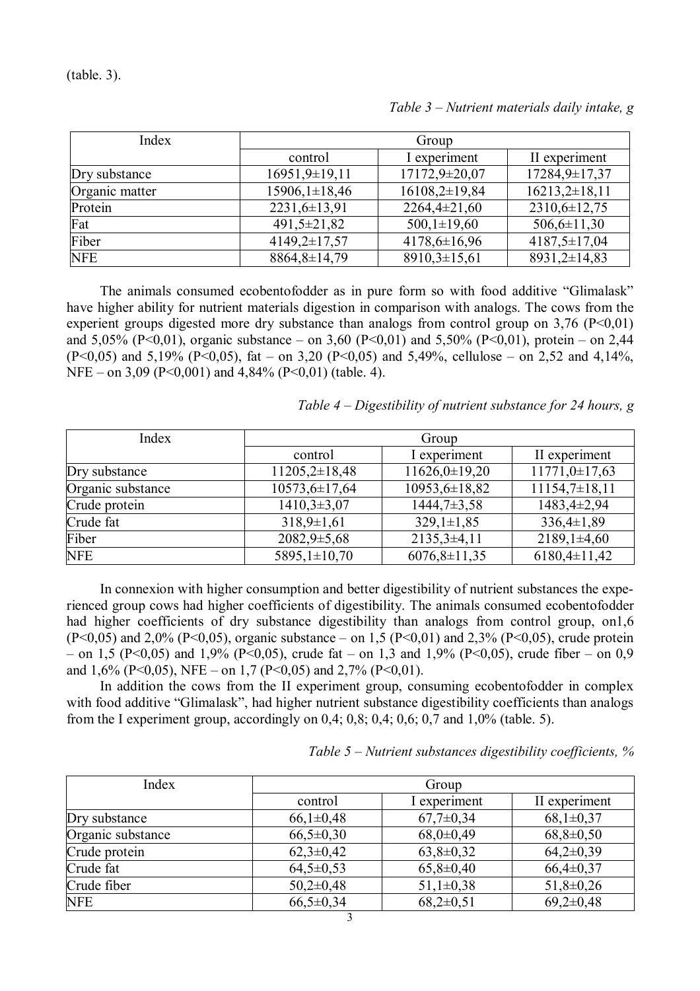(table. 3).

| Index          | Group             |                    |                    |
|----------------|-------------------|--------------------|--------------------|
|                | control           | I experiment       | II experiment      |
| Dry substance  | 16951,9±19,11     | 17172,9±20,07      | 17284,9±17,37      |
| Organic matter | $15906,1\pm18,46$ | $16108,2\pm 19,84$ | $16213,2\pm 18,11$ |
| Protein        | $2231,6\pm 13,91$ | $2264,4\pm21,60$   | 2310,6±12,75       |
| Fat            | $491,5 \pm 21,82$ | $500,1 \pm 19,60$  | $506,6 \pm 11,30$  |
| Fiber          | $4149,2\pm 17,57$ | $4178,6 \pm 16,96$ | $4187,5 \pm 17,04$ |
| NFE            | 8864, 8±14, 79    | $8910,3\pm 15,61$  | $8931,2\pm 14,83$  |

*Table 3 – Nutrient materials daily intake, g*

The animals consumed ecobentofodder as in pure form so with food additive "Glimalask" have higher ability for nutrient materials digestion in comparison with analogs. The cows from the experient groups digested more dry substance than analogs from control group on  $3.76$  (P<0.01) and 5,05% (P<0,01), organic substance – on 3,60 (P<0,01) and 5,50% (P<0,01), protein – on 2,44  $(P<0.05)$  and 5,19% (P $< 0.05$ ), fat – on 3,20 (P $< 0.05$ ) and 5,49%, cellulose – on 2,52 and 4,14%, NFE – on 3,09 (P<0,001) and 4,84% (P<0,01) (table. 4).

*Table 4 – Digestibility of nutrient substance for 24 hours, g*

| Index             | Group               |                    |                    |
|-------------------|---------------------|--------------------|--------------------|
|                   | control             | I experiment       | II experiment      |
| Dry substance     | $11205,2\pm 18,48$  | $11626,0\pm 19,20$ | $11771,0\pm17,63$  |
| Organic substance | $10573,6 \pm 17,64$ | 10953,6±18,82      | $11154,7\pm 18,11$ |
| Crude protein     | $1410,3\pm3,07$     | $1444,7\pm3,58$    | 1483,4±2,94        |
| Crude fat         | $318,9\pm1,61$      | $329,1 \pm 1,85$   | $336,4\pm1,89$     |
| Fiber             | $2082,9\pm 5,68$    | $2135,3\pm4,11$    | $2189,1\pm4,60$    |
| <b>NFE</b>        | 5895,1±10,70        | $6076,8 \pm 11,35$ | $6180,4\pm11,42$   |

In connexion with higher consumption and better digestibility of nutrient substances the experienced group cows had higher coefficients of digestibility. The animals consumed ecobentofodder had higher coefficients of dry substance digestibility than analogs from control group, on1,6 (P<0,05) and 2,0% (P<0,05), organic substance – on 1,5 (P<0,01) and 2,3% (P<0,05), crude protein – on 1,5 (P<0,05) and 1,9% (P<0,05), crude fat – on 1,3 and 1,9% (P<0,05), crude fiber – on 0,9 and 1,6% (P<0,05), NFE – on 1,7 (P<0,05) and 2,7% (P<0,01).

In addition the cows from the II experiment group, consuming ecobentofodder in complex with food additive "Glimalask", had higher nutrient substance digestibility coefficients than analogs from the I experiment group, accordingly on  $0.4$ ;  $0.8$ ;  $0.4$ ;  $0.6$ ;  $0.7$  and  $1.0\%$  (table. 5).

| Table $5$ – Nutrient substances digestibility coefficients, $\%$ |
|------------------------------------------------------------------|
|------------------------------------------------------------------|

| Index             | Group         |                 |                 |
|-------------------|---------------|-----------------|-----------------|
|                   | control       | I experiment    | II experiment   |
| Dry substance     | $66,1\pm0,48$ | $67,7\pm0,34$   | $68,1\pm0,37$   |
| Organic substance | $66,5\pm0,30$ | $68,0\pm0,49$   | $68,8 \pm 0,50$ |
| Crude protein     | $62,3\pm0,42$ | $63,8 \pm 0,32$ | $64,2\pm0,39$   |
| Crude fat         | $64,5\pm0,53$ | $65,8 \pm 0,40$ | $66,4\pm0,37$   |
| Crude fiber       | $50,2\pm0,48$ | $51,1\pm0,38$   | $51,8 \pm 0,26$ |
| <b>NFE</b>        | $66,5\pm0,34$ | $68,2\pm0,51$   | $69,2\pm0,48$   |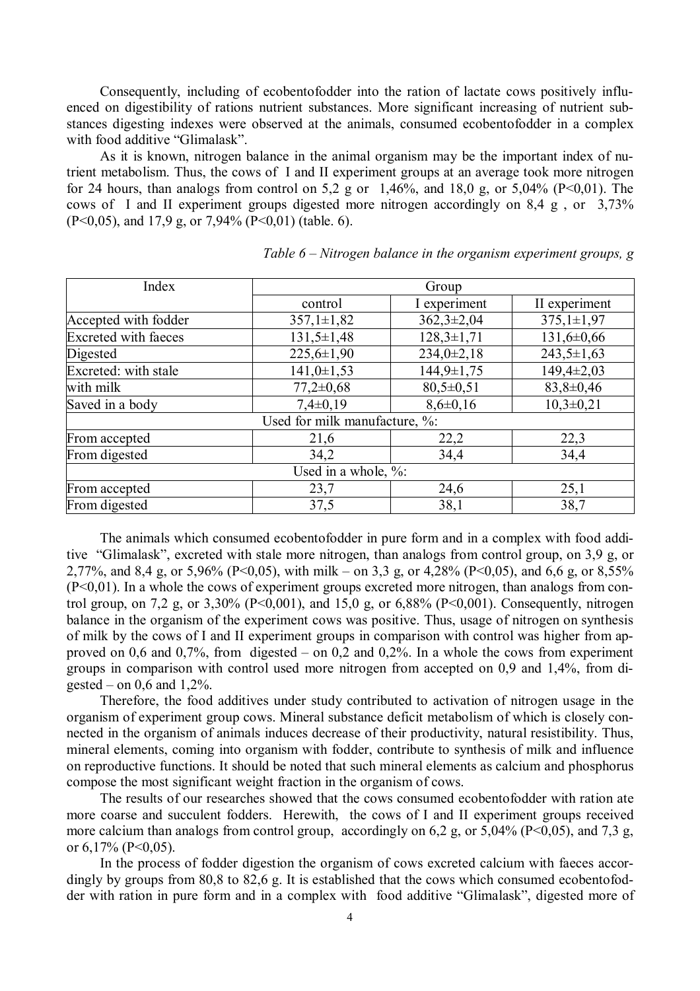Consequently, including of ecobentofodder into the ration of lactate cows positively influenced on digestibility of rations nutrient substances. More significant increasing of nutrient substances digesting indexes were observed at the animals, consumed ecobentofodder in a complex with food additive "Glimalask".

As it is known, nitrogen balance in the animal organism may be the important index of nutrient metabolism. Thus, the cows of I and II experiment groups at an average took more nitrogen for 24 hours, than analogs from control on 5,2 g or  $1,46\%$ , and 18,0 g, or 5,04% (P<0,01). The cows of I and II experiment groups digested more nitrogen accordingly on 8,4 g , or 3,73% (P<0,05), and 17,9 g, or 7,94% (P<0,01) (table. 6).

| Index                       |                               | Group            |                  |  |  |
|-----------------------------|-------------------------------|------------------|------------------|--|--|
|                             | control                       | I experiment     | II experiment    |  |  |
| Accepted with fodder        | $357,1 \pm 1,82$              | $362,3 \pm 2,04$ | $375,1 \pm 1,97$ |  |  |
| <b>Excreted with faeces</b> | $131,5 \pm 1,48$              | $128,3 \pm 1,71$ | $131,6 \pm 0,66$ |  |  |
| Digested                    | $225,6 \pm 1,90$              | $234,0\pm2,18$   | $243,5 \pm 1,63$ |  |  |
| Excreted: with stale        | $141,0 \pm 1,53$              | $144,9 \pm 1,75$ | $149,4\pm2,03$   |  |  |
| with milk                   | $77,2\pm0,68$                 | $80,5\pm0,51$    | $83,8 \pm 0,46$  |  |  |
| Saved in a body             | $7,4\pm0,19$                  | $8,6\pm0,16$     | $10,3\pm0,21$    |  |  |
|                             | Used for milk manufacture, %: |                  |                  |  |  |
| From accepted               | 21,6                          | 22,2             | 22,3             |  |  |
| From digested               | 34,2                          | 34,4             | 34,4             |  |  |
|                             | Used in a whole, %:           |                  |                  |  |  |
| From accepted               | 23,7                          | 24,6             | 25,1             |  |  |
| From digested               | 37,5                          | 38,1             | 38,7             |  |  |

*Table 6 – Nitrogen balance in the organism experiment groups, g*

The animals which consumed ecobentofodder in pure form and in a complex with food additive "Glimalask", excreted with stale more nitrogen, than analogs from control group, on 3,9 g, or 2,77%, and 8,4 g, or 5,96% (Р<0,05), with milk – on 3,3 g, or 4,28% (Р<0,05), and 6,6 g, or 8,55% (Р<0,01). In a whole the cows of experiment groups excreted more nitrogen, than analogs from control group, on 7,2 g, or 3,30% (P<0,001), and 15,0 g, or 6,88% (P<0,001). Consequently, nitrogen balance in the organism of the experiment cows was positive. Thus, usage of nitrogen on synthesis of milk by the cows of I and II experiment groups in comparison with control was higher from approved on 0,6 and 0,7%, from digested – on 0,2 and 0,2%. In a whole the cows from experiment groups in comparison with control used more nitrogen from accepted on 0,9 and 1,4%, from digested – on  $0,6$  and  $1,2\%$ .

Therefore, the food additives under study contributed to activation of nitrogen usage in the organism of experiment group cows. Mineral substance deficit metabolism of which is closely connected in the organism of animals induces decrease of their productivity, natural resistibility. Thus, mineral elements, coming into organism with fodder, contribute to synthesis of milk and influence on reproductive functions. It should be noted that such mineral elements as calcium and phosphorus compose the most significant weight fraction in the organism of cows.

The results of our researches showed that the cows consumed ecobentofodder with ration ate more coarse and succulent fodders. Herewith, the cows of I and II experiment groups received more calcium than analogs from control group, accordingly on 6,2 g, or 5,04% (P<0,05), and 7,3 g, or 6,17% (P<0,05).

In the process of fodder digestion the organism of cows excreted calcium with faeces accordingly by groups from 80,8 to 82,6 g. It is established that the cows which consumed ecobentofodder with ration in pure form and in a complex with food additive "Glimalask", digested more of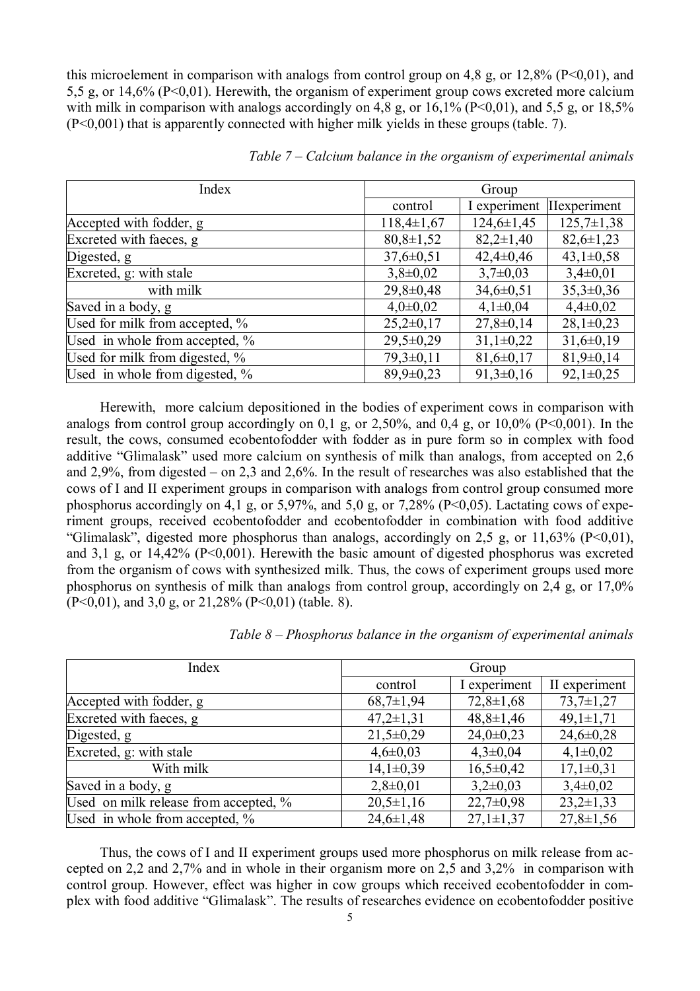this microelement in comparison with analogs from control group on 4.8 g, or 12,8% (P<0,01), and 5,5 g, or 14,6% (Р<0,01). Herewith, the organism of experiment group cows excreted more calcium with milk in comparison with analogs accordingly on 4,8 g, or 16,1% ( $P<0,01$ ), and 5,5 g, or 18,5% (Р<0,001) that is apparently connected with higher milk yields in these groups (table. 7).

| Index                          | Group           |                  |                     |
|--------------------------------|-----------------|------------------|---------------------|
|                                | control         | I experiment     | <b>IIexperiment</b> |
| Accepted with fodder, g        | $118,4\pm1,67$  | $124,6 \pm 1,45$ | $125,7\pm1,38$      |
| Excreted with faeces, g        | $80,8\pm1,52$   | $82,2\pm1,40$    | $82,6 \pm 1,23$     |
| Digested, g                    | $37,6 \pm 0.51$ | $42,4\pm0,46$    | $43,1\pm0,58$       |
| Excreted, g: with stale        | $3,8\pm0.02$    | $3,7\pm0.03$     | $3,4\pm0,01$        |
| with milk                      | $29,8 \pm 0,48$ | $34,6 \pm 0,51$  | $35,3\pm0,36$       |
| Saved in a body, g             | $4,0\pm0,02$    | $4,1\pm0,04$     | $4,4\pm0,02$        |
| Used for milk from accepted, % | $25,2\pm0,17$   | $27,8 \pm 0,14$  | $28,1\pm0,23$       |
| Used in whole from accepted, % | $29,5 \pm 0.29$ | $31,1\pm0.22$    | $31,6 \pm 0,19$     |
| Used for milk from digested, % | $79,3\pm0,11$   | $81,6 \pm 0,17$  | $81,9\pm0,14$       |
| Used in whole from digested, % | $89,9\pm0,23$   | $91,3\pm0,16$    | $92,1\pm0.25$       |

*Table 7 – Calcium balance in the organism of experimental animals*

Herewith, more calcium depositioned in the bodies of experiment cows in comparison with analogs from control group accordingly on 0,1 g, or 2,50%, and 0,4 g, or 10,0% ( $P<0,001$ ). In the result, the cows, consumed ecobentofodder with fodder as in pure form so in complex with food additive "Glimalask" used more calcium on synthesis of milk than analogs, from accepted on 2,6 and 2,9%, from digested – on 2,3 and 2,6%. In the result of researches was also established that the cows of I and II experiment groups in comparison with analogs from control group consumed more phosphorus accordingly on 4,1 g, or 5,97%, and 5,0 g, or 7,28% ( $P<0.05$ ). Lactating cows of experiment groups, received ecobentofodder and ecobentofodder in combination with food additive "Glimalask", digested more phosphorus than analogs, accordingly on 2.5 g, or 11,63% ( $P \le 0.01$ ), and  $3.1$  g, or  $14,42\%$  (P<0,001). Herewith the basic amount of digested phosphorus was excreted from the organism of cows with synthesized milk. Thus, the cows of experiment groups used more phosphorus on synthesis of milk than analogs from control group, accordingly on 2,4 g, or 17,0%  $(P<0,01)$ , and 3,0 g, or 21,28%  $(P<0,01)$  (table. 8).

| Index                                 | Group           |                 |                 |
|---------------------------------------|-----------------|-----------------|-----------------|
|                                       | control         | I experiment    | II experiment   |
| Accepted with fodder, g               | $68,7\pm1,94$   | $72,8 \pm 1,68$ | $73,7\pm1,27$   |
| Excreted with faeces, g               | $47,2 \pm 1,31$ | $48,8 \pm 1,46$ | $49,1 \pm 1,71$ |
| Digested, g                           | $21,5\pm0,29$   | $24,0\pm0,23$   | $24,6 \pm 0,28$ |
| Excreted, g: with stale               | $4,6 \pm 0,03$  | $4,3\pm0,04$    | $4,1\pm0,02$    |
| With milk                             | $14,1\pm0,39$   | $16,5\pm0,42$   | $17,1\pm0,31$   |
| Saved in a body, g                    | $2,8\pm0,01$    | $3,2\pm0,03$    | $3,4\pm0,02$    |
| Used on milk release from accepted, % | $20,5\pm1,16$   | $22,7\pm0,98$   | $23,2\pm 1,33$  |
| Used in whole from accepted, %        | $24,6 \pm 1,48$ | $27,1 \pm 1,37$ | $27,8 \pm 1,56$ |

*Table 8 – Phosphorus balance in the organism of experimental animals*

Thus, the cows of I and II experiment groups used more phosphorus on milk release from accepted on 2,2 and 2,7% and in whole in their organism more on 2,5 and 3,2% in comparison with control group. However, effect was higher in cow groups which received ecobentofodder in complex with food additive "Glimalask". The results of researches evidence on ecobentofodder positive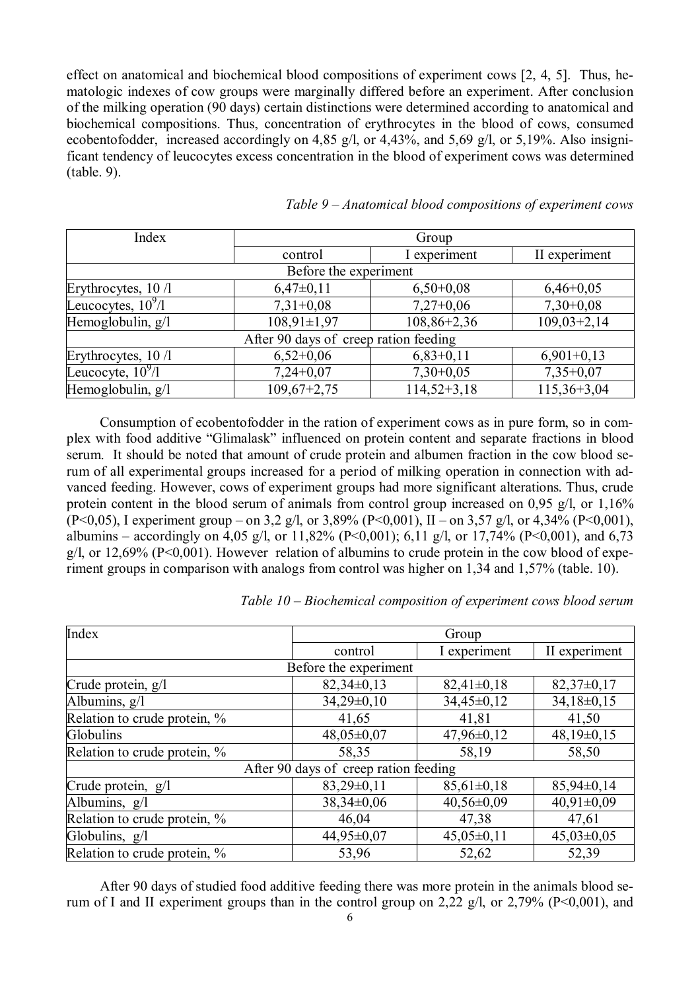effect on anatomical and biochemical blood compositions of experiment cows [2, 4, 5]. Thus, hematologic indexes of cow groups were marginally differed before an experiment. After conclusion of the milking operation (90 days) certain distinctions were determined according to anatomical and biochemical compositions. Thus, concentration of erythrocytes in the blood of cows, consumed ecobentofodder, increased accordingly on 4,85 g/l, or 4,43%, and 5,69 g/l, or 5,19%. Also insignificant tendency of leucocytes excess concentration in the blood of experiment cows was determined (table. 9).

| Index                 | Group                                 |               |               |  |
|-----------------------|---------------------------------------|---------------|---------------|--|
|                       | control                               | I experiment  | II experiment |  |
| Before the experiment |                                       |               |               |  |
| Erythrocytes, 10 /l   | $6,47\pm0,11$                         | $6,50+0,08$   | $6,46+0,05$   |  |
| Leucocytes, $10^9/1$  | $7,31+0,08$                           | $7,27+0,06$   | $7,30+0,08$   |  |
| Hemoglobulin, g/l     | $108,91 \pm 1,97$                     | $108,86+2,36$ | $109,03+2,14$ |  |
|                       | After 90 days of creep ration feeding |               |               |  |
| Erythrocytes, 10 /1   | $6,52+0,06$                           | $6,83+0,11$   | $6,901+0,13$  |  |
| Leucocyte, $10^9/1$   | $7,24+0,07$                           | $7,30+0,05$   | $7,35+0,07$   |  |
| Hemoglobulin, g/l     | $109,67+2,75$                         | $114,52+3,18$ | $115,36+3,04$ |  |

*Table 9 – Anatomical blood compositions of experiment cows*

Consumption of ecobentofodder in the ration of experiment cows as in pure form, so in complex with food additive "Glimalask" influenced on protein content and separate fractions in blood serum. It should be noted that amount of crude protein and albumen fraction in the cow blood serum of all experimental groups increased for a period of milking operation in connection with advanced feeding. However, cows of experiment groups had more significant alterations. Thus, crude protein content in the blood serum of animals from control group increased on 0,95 g/l, or 1,16% (Р<0,05), I experiment group – on 3,2 g/l, or 3,89% (Р<0,001), II – on 3,57 g/l, or 4,34% (Р<0,001), albumins – accordingly on 4,05 g/l, or 11,82% (P<0,001); 6,11 g/l, or 17,74% (P<0,001), and 6,73 g/l, or 12,69% (Р<0,001). However relation of albumins to crude protein in the cow blood of experiment groups in comparison with analogs from control was higher on 1,34 and 1,57% (table. 10).

| Index                        | Group                                 |                  |                |  |
|------------------------------|---------------------------------------|------------------|----------------|--|
|                              | control                               | I experiment     | II experiment  |  |
|                              | Before the experiment                 |                  |                |  |
| Crude protein, g/l           | $82,34\pm0,13$                        | $82,41\pm0,18$   | $82,37\pm0,17$ |  |
| Albumins, g/l                | $34,29\pm0,10$                        | $34,45\pm0,12$   | $34,18\pm0,15$ |  |
| Relation to crude protein, % | 41,65                                 | 41,81            | 41,50          |  |
| Globulins                    | $48,05\pm0,07$                        | $47,96 \pm 0,12$ | $48,19\pm0,15$ |  |
| Relation to crude protein, % | 58,35                                 | 58,19            | 58,50          |  |
|                              | After 90 days of creep ration feeding |                  |                |  |
| Crude protein, g/l           | $83,29\pm0,11$                        | $85,61\pm0,18$   | $85,94\pm0,14$ |  |
| Albumins, g/l                | $38,34\pm0,06$                        | $40,56 \pm 0.09$ | $40,91\pm0,09$ |  |
| Relation to crude protein, % | 46,04                                 | 47,38            | 47,61          |  |
| Globulins, g/l               | $44,95\pm0,07$                        | $45,05\pm0,11$   | $45,03\pm0,05$ |  |
| Relation to crude protein, % | 53,96                                 | 52,62            | 52,39          |  |

*Table 10 – Biochemical composition of experiment cows blood serum*

After 90 days of studied food additive feeding there was more protein in the animals blood serum of I and II experiment groups than in the control group on 2,22 g/l, or 2,79% (Р<0,001), and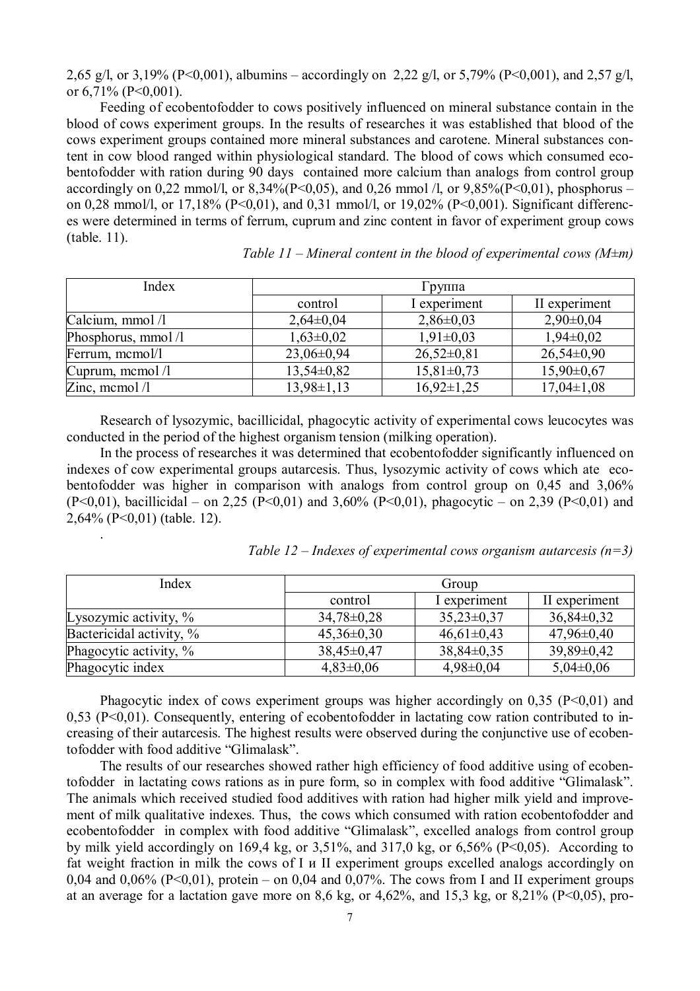2,65 g/l, or 3,19% (P<0,001), albumins – accordingly on 2,22 g/l, or 5,79% (P<0,001), and 2,57 g/l, or 6,71% (P<0,001).

Feeding of ecobentofodder to cows positively influenced on mineral substance contain in the blood of cows experiment groups. In the results of researches it was established that blood of the cows experiment groups contained more mineral substances and carotene. Mineral substances content in cow blood ranged within physiological standard. The blood of cows which consumed ecobentofodder with ration during 90 days contained more calcium than analogs from control group accordingly on 0.22 mmol/l, or  $8.34\%$  (P<0.05), and 0.26 mmol /l, or  $9.85\%$  (P<0.01), phosphorus – on 0.28 mmol/l, or 17,18% (P<0,01), and 0.31 mmol/l, or 19,02% (P<0,001). Significant differences were determined in terms of ferrum, cuprum and zinc content in favor of experiment group cows (table. 11).

| Index              |                  | Группа           |                  |  |
|--------------------|------------------|------------------|------------------|--|
|                    | control          | I experiment     | II experiment    |  |
| Calcium, mmol /l   | $2,64\pm0,04$    | $2,86\pm0,03$    | $2,90\pm0,04$    |  |
| Phosphorus, mmol/l | $1,63\pm0,02$    | $1,91\pm0,03$    | $1,94\pm0,02$    |  |
| Ferrum, mcmol/l    | $23,06\pm0,94$   | $26,52\pm0,81$   | $26,54\pm0,90$   |  |
| Cuprum, memol /l   | $13,54\pm0.82$   | $15,81\pm0,73$   | $15,90\pm0,67$   |  |
| Zinc, mcmol $\ell$ | $13,98 \pm 1,13$ | $16,92 \pm 1,25$ | $17,04 \pm 1,08$ |  |

*Table 11 – Mineral content in the blood of experimental cows (M±m)*

Research of lysozymic, bacillicidal, phagocytic activity of experimental cows leucocytes was conducted in the period of the highest organism tension (milking operation).

In the process of researches it was determined that ecobentofodder significantly influenced on indexes of cow experimental groups autarcesis. Thus, lysozymic activity of cows which ate ecobentofodder was higher in comparison with analogs from control group on 0,45 and 3,06% (P<0,01), bacillicidal – on 2,25 (P<0,01) and 3,60% (P<0,01), phagocytic – on 2,39 (P<0,01) and 2,64% (Р<0,01) (table. 12).

.

| Index                    | Group            |                |                  |
|--------------------------|------------------|----------------|------------------|
|                          | control          | I experiment   | II experiment    |
| Lysozymic activity, $\%$ | $34,78 \pm 0,28$ | $35,23\pm0,37$ | $36,84\pm0,32$   |
| Bactericidal activity, % | $45,36 \pm 0,30$ | $46,61\pm0,43$ | $47,96 \pm 0,40$ |
| Phagocytic activity, %   | $38,45\pm0,47$   | $38,84\pm0,35$ | $39,89\pm0,42$   |
| Phagocytic index         | $4,83\pm0,06$    | $4,98\pm0,04$  | $5,04\pm0,06$    |

Phagocytic index of cows experiment groups was higher accordingly on  $0.35$  (P<0,01) and 0,53 (Р<0,01). Consequently, entering of ecobentofodder in lactating cow ration contributed to increasing of their autarcesis. The highest results were observed during the conjunctive use of ecobentofodder with food additive "Glimalask".

The results of our researches showed rather high efficiency of food additive using of ecobentofodder in lactating cows rations as in pure form, so in complex with food additive "Glimalask". The animals which received studied food additives with ration had higher milk yield and improvement of milk qualitative indexes. Thus, the cows which consumed with ration ecobentofodder and ecobentofodder in complex with food additive "Glimalask", excelled analogs from control group by milk yield accordingly on 169,4 kg, or  $3,51\%$ , and  $317,0$  kg, or  $6,56\%$  (P<0,05). According to fat weight fraction in milk the cows of I и II experiment groups excelled analogs accordingly on 0,04 and 0,06% (P<0,01), protein – on 0,04 and 0,07%. The cows from I and II experiment groups at an average for a lactation gave more on 8.6 kg, or 4,62%, and 15.3 kg, or 8,21% ( $P \le 0.05$ ), pro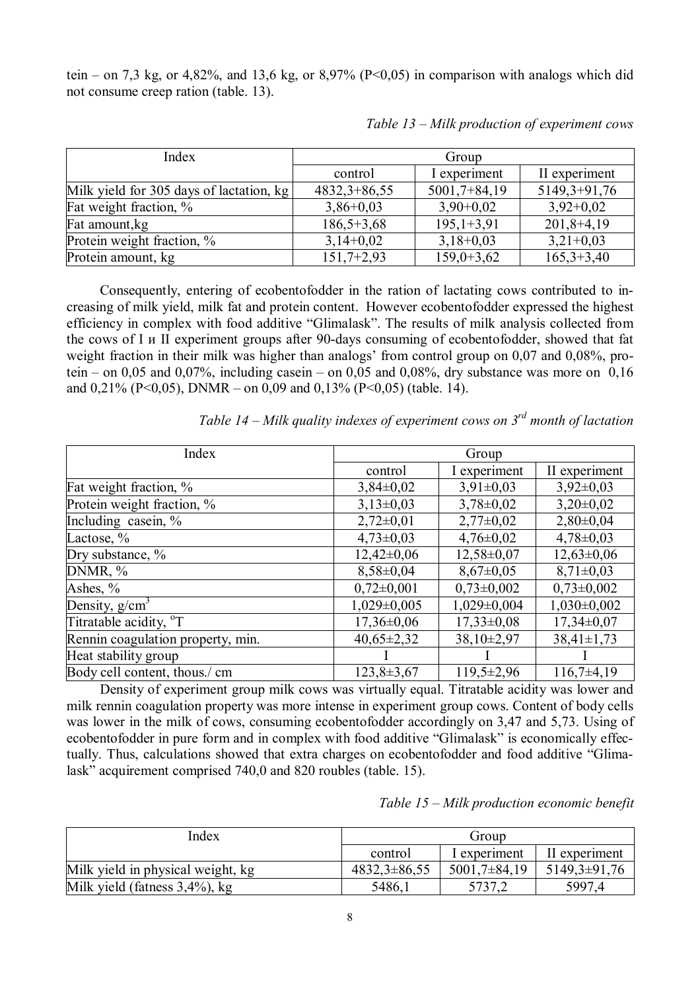tein – on 7,3 kg, or 4,82%, and 13,6 kg, or 8,97% ( $P<0.05$ ) in comparison with analogs which did not consume creep ration (table. 13).

| Index                                    | Group          |                |                |
|------------------------------------------|----------------|----------------|----------------|
|                                          | control        | experiment     | II experiment  |
| Milk yield for 305 days of lactation, kg | $4832,3+86,55$ | $5001,7+84,19$ | $5149,3+91,76$ |
| Fat weight fraction, %                   | $3,86+0,03$    | $3,90+0,02$    | $3,92+0,02$    |
| Fat amount, kg                           | $186,5+3,68$   | $195,1+3,91$   | $201,8+4,19$   |
| Protein weight fraction, %               | $3,14+0,02$    | $3,18+0,03$    | $3,21+0,03$    |
| Protein amount, kg                       | $151,7+2,93$   | $159,0+3,62$   | $165,3+3,40$   |

*Table 13 – Milk production of experiment cows*

Consequently, entering of ecobentofodder in the ration of lactating cows contributed to increasing of milk yield, milk fat and protein content. However ecobentofodder expressed the highest efficiency in complex with food additive "Glimalask". The results of milk analysis collected from the cows of I и II experiment groups after 90-days consuming of ecobentofodder, showed that fat weight fraction in their milk was higher than analogs' from control group on 0,07 and 0,08%, protein – on 0,05 and 0,07%, including casein – on 0,05 and 0,08%, dry substance was more on 0,16 and  $0,21\%$  (P<0,05), DNMR – on 0,09 and 0,13% (P<0,05) (table. 14).

| Index                              | Group            |                  |                  |
|------------------------------------|------------------|------------------|------------------|
|                                    | control          | I experiment     | II experiment    |
| Fat weight fraction, %             | $3,84\pm0,02$    | $3,91\pm0,03$    | $3,92\pm0,03$    |
| Protein weight fraction, %         | $3,13\pm0,03$    | $3,78 \pm 0,02$  | $3,20\pm0,02$    |
| Including casein, %                | $2,72\pm0,01$    | $2,77\pm0,02$    | $2,80\pm0,04$    |
| Lactose, %                         | $4,73\pm0,03$    | $4,76 \pm 0.02$  | $4,78\pm0,03$    |
| Dry substance, %                   | $12,42\pm0,06$   | $12,58 \pm 0.07$ | $12,63\pm0,06$   |
| DNMR, %                            | $8,58\pm0.04$    | $8,67\pm0,05$    | $8,71\pm0,03$    |
| Ashes, $\%$                        | $0,72\pm0,001$   | $0,73\pm0,002$   | $0,73\pm0,002$   |
| Density, $g/cm3$                   | $1,029\pm0,005$  | $1,029\pm0,004$  | $1,030\pm0,002$  |
| Titratable acidity, <sup>o</sup> T | $17,36 \pm 0.06$ | $17,33\pm0.08$   | $17,34\pm0.07$   |
| Rennin coagulation property, min.  | $40,65 \pm 2,32$ | 38,10±2,97       | $38,41 \pm 1,73$ |
| Heat stability group               |                  |                  |                  |
| Body cell content, thous./ cm      | $123,8+3,67$     | $119,5 \pm 2,96$ | $116,7\pm4,19$   |

*Table 14 – Milk quality indexes of experiment cows on 3rd month of lactation* 

Density of experiment group milk cows was virtually equal. Titratable acidity was lower and milk rennin coagulation property was more intense in experiment group cows. Content of body cells was lower in the milk of cows, consuming ecobentofodder accordingly on 3,47 and 5,73. Using of ecobentofodder in pure form and in complex with food additive "Glimalask" is economically effectually. Thus, calculations showed that extra charges on ecobentofodder and food additive "Glimalask" acquirement comprised 740,0 and 820 roubles (table. 15).

| Table 15 - Milk production economic benefit |  |
|---------------------------------------------|--|
|                                             |  |

| Index                             | Group              |                    |                  |
|-----------------------------------|--------------------|--------------------|------------------|
|                                   | control            | 1 experiment       | II experiment    |
| Milk yield in physical weight, kg | $4832,3 \pm 86,55$ | $5001.7 \pm 84.19$ | $5149,3\pm91,76$ |
| Milk yield (fatness $3,4\%$ ), kg | 5486,1             | 5737.2             | 5997,4           |